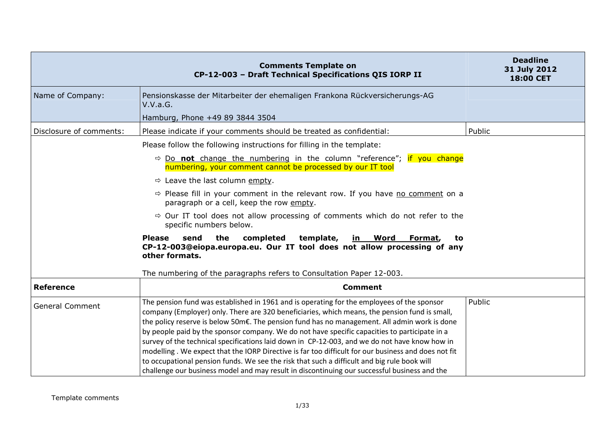|                         | <b>Comments Template on</b><br>CP-12-003 - Draft Technical Specifications QIS IORP II                                                                                                                                                                                                                                                                                                        | <b>Deadline</b><br>31 July 2012<br>18:00 CET |
|-------------------------|----------------------------------------------------------------------------------------------------------------------------------------------------------------------------------------------------------------------------------------------------------------------------------------------------------------------------------------------------------------------------------------------|----------------------------------------------|
| Name of Company:        | Pensionskasse der Mitarbeiter der ehemaligen Frankona Rückversicherungs-AG<br>V.V.a.G.                                                                                                                                                                                                                                                                                                       |                                              |
|                         | Hamburg, Phone +49 89 3844 3504                                                                                                                                                                                                                                                                                                                                                              |                                              |
| Disclosure of comments: | Please indicate if your comments should be treated as confidential:                                                                                                                                                                                                                                                                                                                          | Public                                       |
|                         | Please follow the following instructions for filling in the template:                                                                                                                                                                                                                                                                                                                        |                                              |
|                         | $\Rightarrow$ Do <b>not</b> change the numbering in the column "reference"; if you change<br>numbering, your comment cannot be processed by our IT tool                                                                                                                                                                                                                                      |                                              |
|                         | $\Rightarrow$ Leave the last column empty.                                                                                                                                                                                                                                                                                                                                                   |                                              |
|                         | $\Rightarrow$ Please fill in your comment in the relevant row. If you have no comment on a<br>paragraph or a cell, keep the row empty.                                                                                                                                                                                                                                                       |                                              |
|                         | $\Rightarrow$ Our IT tool does not allow processing of comments which do not refer to the<br>specific numbers below.                                                                                                                                                                                                                                                                         |                                              |
|                         | the<br>completed<br>template,<br><b>Please</b><br>send<br><u>in Word</u><br>Format,<br>to<br>CP-12-003@eiopa.europa.eu. Our IT tool does not allow processing of any<br>other formats.                                                                                                                                                                                                       |                                              |
|                         | The numbering of the paragraphs refers to Consultation Paper 12-003.                                                                                                                                                                                                                                                                                                                         |                                              |
| <b>Reference</b>        | <b>Comment</b>                                                                                                                                                                                                                                                                                                                                                                               |                                              |
| <b>General Comment</b>  | The pension fund was established in 1961 and is operating for the employees of the sponsor<br>company (Employer) only. There are 320 beneficiaries, which means, the pension fund is small,<br>the policy reserve is below 50m€. The pension fund has no management. All admin work is done<br>by people paid by the sponsor company. We do not have specific capacities to participate in a | Public                                       |
|                         | survey of the technical specifications laid down in CP-12-003, and we do not have know how in                                                                                                                                                                                                                                                                                                |                                              |
|                         | modelling. We expect that the IORP Directive is far too difficult for our business and does not fit                                                                                                                                                                                                                                                                                          |                                              |
|                         | to occupational pension funds. We see the risk that such a difficult and big rule book will                                                                                                                                                                                                                                                                                                  |                                              |
|                         | challenge our business model and may result in discontinuing our successful business and the                                                                                                                                                                                                                                                                                                 |                                              |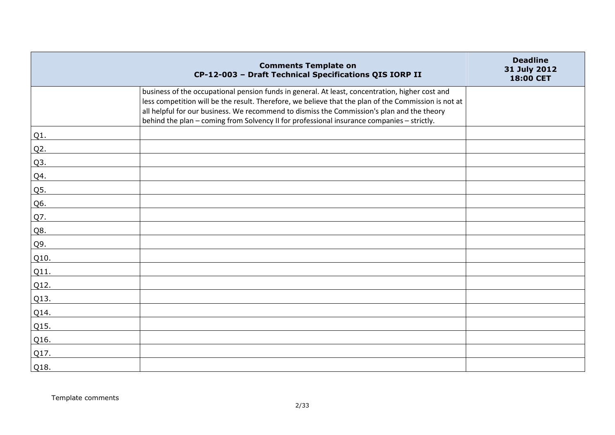|        | <b>Comments Template on</b><br>CP-12-003 - Draft Technical Specifications QIS IORP II                                                                                                                                                                                                                                                                                                               | <b>Deadline</b><br>31 July 2012<br>18:00 CET |
|--------|-----------------------------------------------------------------------------------------------------------------------------------------------------------------------------------------------------------------------------------------------------------------------------------------------------------------------------------------------------------------------------------------------------|----------------------------------------------|
|        | business of the occupational pension funds in general. At least, concentration, higher cost and<br>less competition will be the result. Therefore, we believe that the plan of the Commission is not at<br>all helpful for our business. We recommend to dismiss the Commission's plan and the theory<br>behind the plan - coming from Solvency II for professional insurance companies - strictly. |                                              |
| $Q1$ . |                                                                                                                                                                                                                                                                                                                                                                                                     |                                              |
| $Q2$ . |                                                                                                                                                                                                                                                                                                                                                                                                     |                                              |
| Q3.    |                                                                                                                                                                                                                                                                                                                                                                                                     |                                              |
| Q4.    |                                                                                                                                                                                                                                                                                                                                                                                                     |                                              |
| Q5.    |                                                                                                                                                                                                                                                                                                                                                                                                     |                                              |
| Q6.    |                                                                                                                                                                                                                                                                                                                                                                                                     |                                              |
| Q7.    |                                                                                                                                                                                                                                                                                                                                                                                                     |                                              |
| Q8.    |                                                                                                                                                                                                                                                                                                                                                                                                     |                                              |
| Q9.    |                                                                                                                                                                                                                                                                                                                                                                                                     |                                              |
| Q10.   |                                                                                                                                                                                                                                                                                                                                                                                                     |                                              |
| Q11.   |                                                                                                                                                                                                                                                                                                                                                                                                     |                                              |
| Q12.   |                                                                                                                                                                                                                                                                                                                                                                                                     |                                              |
| Q13.   |                                                                                                                                                                                                                                                                                                                                                                                                     |                                              |
| Q14.   |                                                                                                                                                                                                                                                                                                                                                                                                     |                                              |
| Q15.   |                                                                                                                                                                                                                                                                                                                                                                                                     |                                              |
| Q16.   |                                                                                                                                                                                                                                                                                                                                                                                                     |                                              |
| Q17.   |                                                                                                                                                                                                                                                                                                                                                                                                     |                                              |
| Q18.   |                                                                                                                                                                                                                                                                                                                                                                                                     |                                              |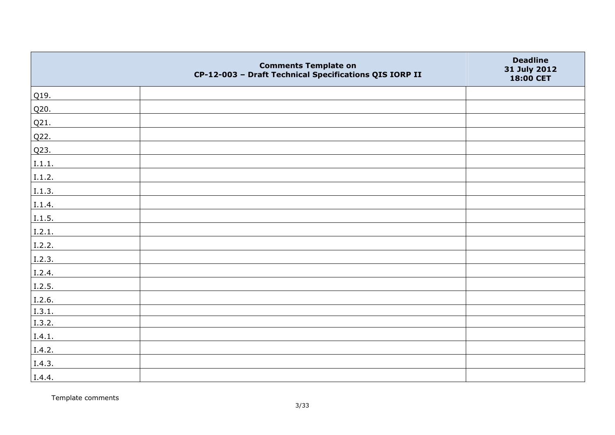|        | <b>Comments Template on</b><br>CP-12-003 - Draft Technical Specifications QIS IORP II | <b>Deadline</b><br>31 July 2012<br>18:00 CET |
|--------|---------------------------------------------------------------------------------------|----------------------------------------------|
| Q19.   |                                                                                       |                                              |
| Q20.   |                                                                                       |                                              |
| Q21.   |                                                                                       |                                              |
| Q22.   |                                                                                       |                                              |
| Q23.   |                                                                                       |                                              |
| I.1.1. |                                                                                       |                                              |
| I.1.2. |                                                                                       |                                              |
| I.1.3. |                                                                                       |                                              |
| I.1.4. |                                                                                       |                                              |
| I.1.5. |                                                                                       |                                              |
| I.2.1. |                                                                                       |                                              |
| I.2.2. |                                                                                       |                                              |
| I.2.3. |                                                                                       |                                              |
| I.2.4. |                                                                                       |                                              |
| I.2.5. |                                                                                       |                                              |
| I.2.6. |                                                                                       |                                              |
| I.3.1. |                                                                                       |                                              |
| I.3.2. |                                                                                       |                                              |
| I.4.1. |                                                                                       |                                              |
| I.4.2. |                                                                                       |                                              |
| I.4.3. |                                                                                       |                                              |
| I.4.4. |                                                                                       |                                              |

Template comments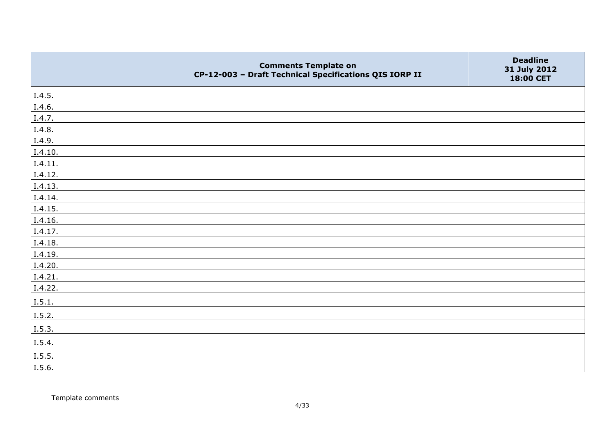|         | <b>Comments Template on</b><br>CP-12-003 - Draft Technical Specifications QIS IORP II | <b>Deadline</b><br>31 July 2012<br>18:00 CET |
|---------|---------------------------------------------------------------------------------------|----------------------------------------------|
| I.4.5.  |                                                                                       |                                              |
| I.4.6.  |                                                                                       |                                              |
| I.4.7.  |                                                                                       |                                              |
| I.4.8.  |                                                                                       |                                              |
| I.4.9.  |                                                                                       |                                              |
| I.4.10. |                                                                                       |                                              |
| I.4.11. |                                                                                       |                                              |
| I.4.12. |                                                                                       |                                              |
| I.4.13. |                                                                                       |                                              |
| I.4.14. |                                                                                       |                                              |
| I.4.15. |                                                                                       |                                              |
| I.4.16. |                                                                                       |                                              |
| I.4.17. |                                                                                       |                                              |
| I.4.18. |                                                                                       |                                              |
| I.4.19. |                                                                                       |                                              |
| I.4.20. |                                                                                       |                                              |
| I.4.21. |                                                                                       |                                              |
| I.4.22. |                                                                                       |                                              |
| 1.5.1.  |                                                                                       |                                              |
| I.5.2.  |                                                                                       |                                              |
| I.5.3.  |                                                                                       |                                              |
| I.5.4.  |                                                                                       |                                              |
| I.5.5.  |                                                                                       |                                              |
| I.5.6.  |                                                                                       |                                              |

Template comments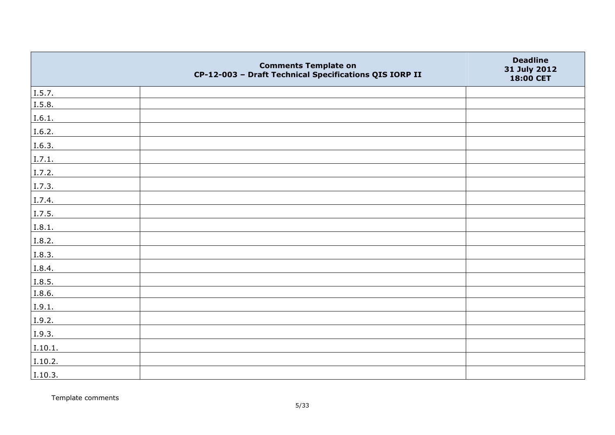|         | <b>Comments Template on</b><br>CP-12-003 - Draft Technical Specifications QIS IORP II | <b>Deadline</b><br>31 July 2012<br>18:00 CET |
|---------|---------------------------------------------------------------------------------------|----------------------------------------------|
| I.5.7.  |                                                                                       |                                              |
| I.5.8.  |                                                                                       |                                              |
| I.6.1.  |                                                                                       |                                              |
| I.6.2.  |                                                                                       |                                              |
| I.6.3.  |                                                                                       |                                              |
| I.7.1.  |                                                                                       |                                              |
| I.7.2.  |                                                                                       |                                              |
| I.7.3.  |                                                                                       |                                              |
| I.7.4.  |                                                                                       |                                              |
| I.7.5.  |                                                                                       |                                              |
| I.8.1.  |                                                                                       |                                              |
| I.8.2.  |                                                                                       |                                              |
| I.8.3.  |                                                                                       |                                              |
| I.8.4.  |                                                                                       |                                              |
| I.8.5.  |                                                                                       |                                              |
| I.8.6.  |                                                                                       |                                              |
| I.9.1.  |                                                                                       |                                              |
| I.9.2.  |                                                                                       |                                              |
| I.9.3.  |                                                                                       |                                              |
| I.10.1. |                                                                                       |                                              |
| I.10.2. |                                                                                       |                                              |
| I.10.3. |                                                                                       |                                              |

Template comments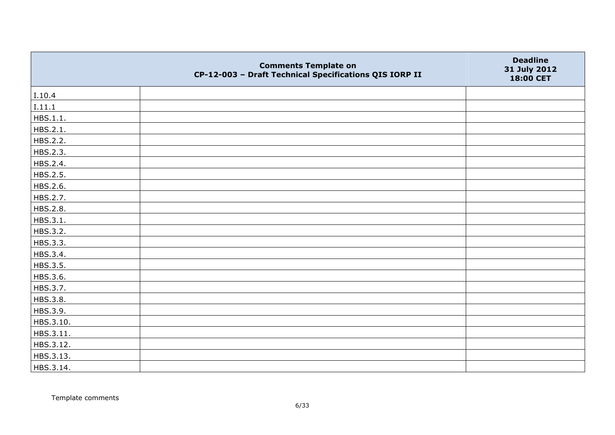|           | <b>Comments Template on</b><br>CP-12-003 - Draft Technical Specifications QIS IORP II | <b>Deadline</b><br>31 July 2012<br>18:00 CET |
|-----------|---------------------------------------------------------------------------------------|----------------------------------------------|
| I.10.4    |                                                                                       |                                              |
| I.11.1    |                                                                                       |                                              |
| HBS.1.1.  |                                                                                       |                                              |
| HBS.2.1.  |                                                                                       |                                              |
| HBS.2.2.  |                                                                                       |                                              |
| HBS.2.3.  |                                                                                       |                                              |
| HBS.2.4.  |                                                                                       |                                              |
| HBS.2.5.  |                                                                                       |                                              |
| HBS.2.6.  |                                                                                       |                                              |
| HBS.2.7.  |                                                                                       |                                              |
| HBS.2.8.  |                                                                                       |                                              |
| HBS.3.1.  |                                                                                       |                                              |
| HBS.3.2.  |                                                                                       |                                              |
| HBS.3.3.  |                                                                                       |                                              |
| HBS.3.4.  |                                                                                       |                                              |
| HBS.3.5.  |                                                                                       |                                              |
| HBS.3.6.  |                                                                                       |                                              |
| HBS.3.7.  |                                                                                       |                                              |
| HBS.3.8.  |                                                                                       |                                              |
| HBS.3.9.  |                                                                                       |                                              |
| HBS.3.10. |                                                                                       |                                              |
| HBS.3.11. |                                                                                       |                                              |
| HBS.3.12. |                                                                                       |                                              |
| HBS.3.13. |                                                                                       |                                              |
| HBS.3.14. |                                                                                       |                                              |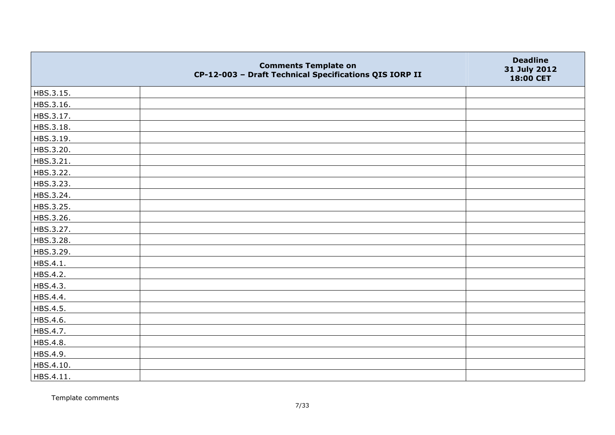|           | <b>Comments Template on</b><br>CP-12-003 - Draft Technical Specifications QIS IORP II | <b>Deadline</b><br>31 July 2012<br>18:00 CET |
|-----------|---------------------------------------------------------------------------------------|----------------------------------------------|
| HBS.3.15. |                                                                                       |                                              |
| HBS.3.16. |                                                                                       |                                              |
| HBS.3.17. |                                                                                       |                                              |
| HBS.3.18. |                                                                                       |                                              |
| HBS.3.19. |                                                                                       |                                              |
| HBS.3.20. |                                                                                       |                                              |
| HBS.3.21. |                                                                                       |                                              |
| HBS.3.22. |                                                                                       |                                              |
| HBS.3.23. |                                                                                       |                                              |
| HBS.3.24. |                                                                                       |                                              |
| HBS.3.25. |                                                                                       |                                              |
| HBS.3.26. |                                                                                       |                                              |
| HBS.3.27. |                                                                                       |                                              |
| HBS.3.28. |                                                                                       |                                              |
| HBS.3.29. |                                                                                       |                                              |
| HBS.4.1.  |                                                                                       |                                              |
| HBS.4.2.  |                                                                                       |                                              |
| HBS.4.3.  |                                                                                       |                                              |
| HBS.4.4.  |                                                                                       |                                              |
| HBS.4.5.  |                                                                                       |                                              |
| HBS.4.6.  |                                                                                       |                                              |
| HBS.4.7.  |                                                                                       |                                              |
| HBS.4.8.  |                                                                                       |                                              |
| HBS.4.9.  |                                                                                       |                                              |
| HBS.4.10. |                                                                                       |                                              |
| HBS.4.11. |                                                                                       |                                              |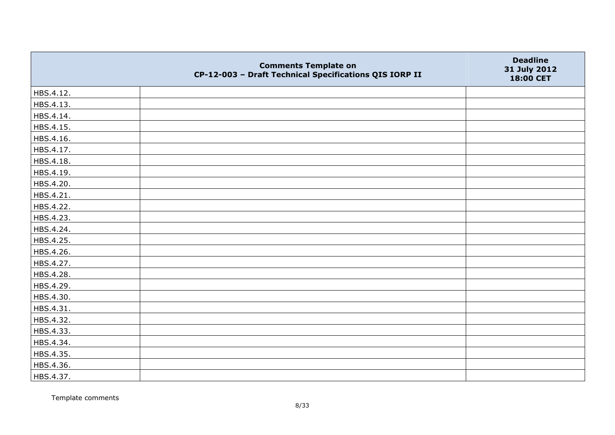|           | <b>Comments Template on</b><br>CP-12-003 - Draft Technical Specifications QIS IORP II | <b>Deadline</b><br>31 July 2012<br>18:00 CET |
|-----------|---------------------------------------------------------------------------------------|----------------------------------------------|
| HBS.4.12. |                                                                                       |                                              |
| HBS.4.13. |                                                                                       |                                              |
| HBS.4.14. |                                                                                       |                                              |
| HBS.4.15. |                                                                                       |                                              |
| HBS.4.16. |                                                                                       |                                              |
| HBS.4.17. |                                                                                       |                                              |
| HBS.4.18. |                                                                                       |                                              |
| HBS.4.19. |                                                                                       |                                              |
| HBS.4.20. |                                                                                       |                                              |
| HBS.4.21. |                                                                                       |                                              |
| HBS.4.22. |                                                                                       |                                              |
| HBS.4.23. |                                                                                       |                                              |
| HBS.4.24. |                                                                                       |                                              |
| HBS.4.25. |                                                                                       |                                              |
| HBS.4.26. |                                                                                       |                                              |
| HBS.4.27. |                                                                                       |                                              |
| HBS.4.28. |                                                                                       |                                              |
| HBS.4.29. |                                                                                       |                                              |
| HBS.4.30. |                                                                                       |                                              |
| HBS.4.31. |                                                                                       |                                              |
| HBS.4.32. |                                                                                       |                                              |
| HBS.4.33. |                                                                                       |                                              |
| HBS.4.34. |                                                                                       |                                              |
| HBS.4.35. |                                                                                       |                                              |
| HBS.4.36. |                                                                                       |                                              |
| HBS.4.37. |                                                                                       |                                              |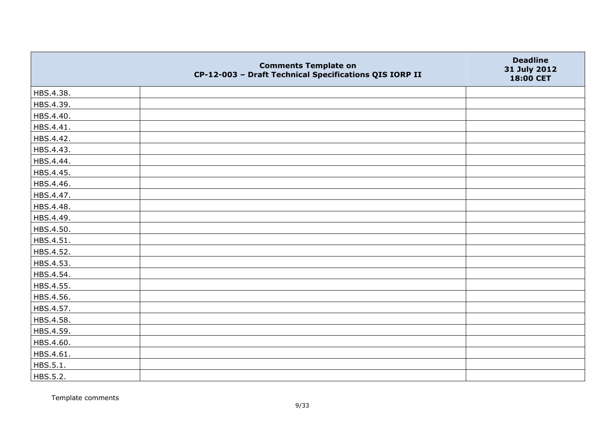|           | <b>Comments Template on</b><br>CP-12-003 - Draft Technical Specifications QIS IORP II | <b>Deadline</b><br>31 July 2012<br>18:00 CET |
|-----------|---------------------------------------------------------------------------------------|----------------------------------------------|
| HBS.4.38. |                                                                                       |                                              |
| HBS.4.39. |                                                                                       |                                              |
| HBS.4.40. |                                                                                       |                                              |
| HBS.4.41. |                                                                                       |                                              |
| HBS.4.42. |                                                                                       |                                              |
| HBS.4.43. |                                                                                       |                                              |
| HBS.4.44. |                                                                                       |                                              |
| HBS.4.45. |                                                                                       |                                              |
| HBS.4.46. |                                                                                       |                                              |
| HBS.4.47. |                                                                                       |                                              |
| HBS.4.48. |                                                                                       |                                              |
| HBS.4.49. |                                                                                       |                                              |
| HBS.4.50. |                                                                                       |                                              |
| HBS.4.51. |                                                                                       |                                              |
| HBS.4.52. |                                                                                       |                                              |
| HBS.4.53. |                                                                                       |                                              |
| HBS.4.54. |                                                                                       |                                              |
| HBS.4.55. |                                                                                       |                                              |
| HBS.4.56. |                                                                                       |                                              |
| HBS.4.57. |                                                                                       |                                              |
| HBS.4.58. |                                                                                       |                                              |
| HBS.4.59. |                                                                                       |                                              |
| HBS.4.60. |                                                                                       |                                              |
| HBS.4.61. |                                                                                       |                                              |
| HBS.5.1.  |                                                                                       |                                              |
| HBS.5.2.  |                                                                                       |                                              |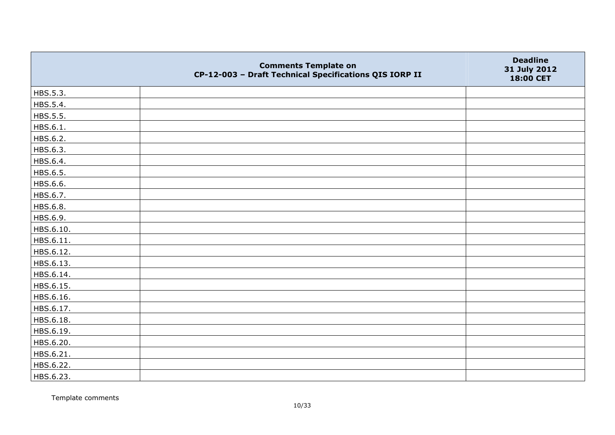|           | <b>Comments Template on</b><br>CP-12-003 - Draft Technical Specifications QIS IORP II | <b>Deadline</b><br>31 July 2012<br>18:00 CET |
|-----------|---------------------------------------------------------------------------------------|----------------------------------------------|
| HBS.5.3.  |                                                                                       |                                              |
| HBS.5.4.  |                                                                                       |                                              |
| HBS.5.5.  |                                                                                       |                                              |
| HBS.6.1.  |                                                                                       |                                              |
| HBS.6.2.  |                                                                                       |                                              |
| HBS.6.3.  |                                                                                       |                                              |
| HBS.6.4.  |                                                                                       |                                              |
| HBS.6.5.  |                                                                                       |                                              |
| HBS.6.6.  |                                                                                       |                                              |
| HBS.6.7.  |                                                                                       |                                              |
| HBS.6.8.  |                                                                                       |                                              |
| HBS.6.9.  |                                                                                       |                                              |
| HBS.6.10. |                                                                                       |                                              |
| HBS.6.11. |                                                                                       |                                              |
| HBS.6.12. |                                                                                       |                                              |
| HBS.6.13. |                                                                                       |                                              |
| HBS.6.14. |                                                                                       |                                              |
| HBS.6.15. |                                                                                       |                                              |
| HBS.6.16. |                                                                                       |                                              |
| HBS.6.17. |                                                                                       |                                              |
| HBS.6.18. |                                                                                       |                                              |
| HBS.6.19. |                                                                                       |                                              |
| HBS.6.20. |                                                                                       |                                              |
| HBS.6.21. |                                                                                       |                                              |
| HBS.6.22. |                                                                                       |                                              |
| HBS.6.23. |                                                                                       |                                              |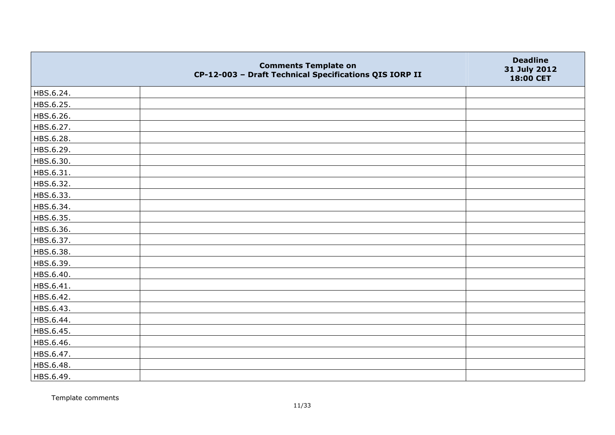|           | <b>Comments Template on</b><br>CP-12-003 - Draft Technical Specifications QIS IORP II | <b>Deadline</b><br>31 July 2012<br>18:00 CET |
|-----------|---------------------------------------------------------------------------------------|----------------------------------------------|
| HBS.6.24. |                                                                                       |                                              |
| HBS.6.25. |                                                                                       |                                              |
| HBS.6.26. |                                                                                       |                                              |
| HBS.6.27. |                                                                                       |                                              |
| HBS.6.28. |                                                                                       |                                              |
| HBS.6.29. |                                                                                       |                                              |
| HBS.6.30. |                                                                                       |                                              |
| HBS.6.31. |                                                                                       |                                              |
| HBS.6.32. |                                                                                       |                                              |
| HBS.6.33. |                                                                                       |                                              |
| HBS.6.34. |                                                                                       |                                              |
| HBS.6.35. |                                                                                       |                                              |
| HBS.6.36. |                                                                                       |                                              |
| HBS.6.37. |                                                                                       |                                              |
| HBS.6.38. |                                                                                       |                                              |
| HBS.6.39. |                                                                                       |                                              |
| HBS.6.40. |                                                                                       |                                              |
| HBS.6.41. |                                                                                       |                                              |
| HBS.6.42. |                                                                                       |                                              |
| HBS.6.43. |                                                                                       |                                              |
| HBS.6.44. |                                                                                       |                                              |
| HBS.6.45. |                                                                                       |                                              |
| HBS.6.46. |                                                                                       |                                              |
| HBS.6.47. |                                                                                       |                                              |
| HBS.6.48. |                                                                                       |                                              |
| HBS.6.49. |                                                                                       |                                              |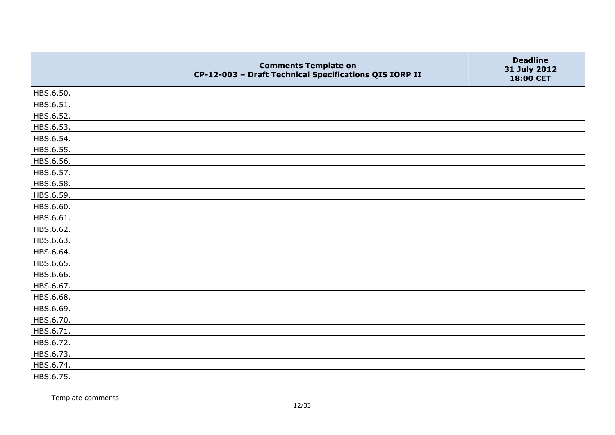|           | <b>Comments Template on</b><br>CP-12-003 - Draft Technical Specifications QIS IORP II | <b>Deadline</b><br>31 July 2012<br>18:00 CET |
|-----------|---------------------------------------------------------------------------------------|----------------------------------------------|
| HBS.6.50. |                                                                                       |                                              |
| HBS.6.51. |                                                                                       |                                              |
| HBS.6.52. |                                                                                       |                                              |
| HBS.6.53. |                                                                                       |                                              |
| HBS.6.54. |                                                                                       |                                              |
| HBS.6.55. |                                                                                       |                                              |
| HBS.6.56. |                                                                                       |                                              |
| HBS.6.57. |                                                                                       |                                              |
| HBS.6.58. |                                                                                       |                                              |
| HBS.6.59. |                                                                                       |                                              |
| HBS.6.60. |                                                                                       |                                              |
| HBS.6.61. |                                                                                       |                                              |
| HBS.6.62. |                                                                                       |                                              |
| HBS.6.63. |                                                                                       |                                              |
| HBS.6.64. |                                                                                       |                                              |
| HBS.6.65. |                                                                                       |                                              |
| HBS.6.66. |                                                                                       |                                              |
| HBS.6.67. |                                                                                       |                                              |
| HBS.6.68. |                                                                                       |                                              |
| HBS.6.69. |                                                                                       |                                              |
| HBS.6.70. |                                                                                       |                                              |
| HBS.6.71. |                                                                                       |                                              |
| HBS.6.72. |                                                                                       |                                              |
| HBS.6.73. |                                                                                       |                                              |
| HBS.6.74. |                                                                                       |                                              |
| HBS.6.75. |                                                                                       |                                              |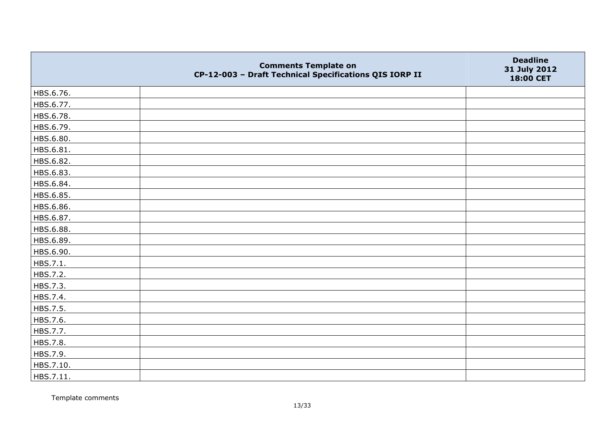|           | <b>Comments Template on</b><br>CP-12-003 - Draft Technical Specifications QIS IORP II | <b>Deadline</b><br>31 July 2012<br>18:00 CET |
|-----------|---------------------------------------------------------------------------------------|----------------------------------------------|
| HBS.6.76. |                                                                                       |                                              |
| HBS.6.77. |                                                                                       |                                              |
| HBS.6.78. |                                                                                       |                                              |
| HBS.6.79. |                                                                                       |                                              |
| HBS.6.80. |                                                                                       |                                              |
| HBS.6.81. |                                                                                       |                                              |
| HBS.6.82. |                                                                                       |                                              |
| HBS.6.83. |                                                                                       |                                              |
| HBS.6.84. |                                                                                       |                                              |
| HBS.6.85. |                                                                                       |                                              |
| HBS.6.86. |                                                                                       |                                              |
| HBS.6.87. |                                                                                       |                                              |
| HBS.6.88. |                                                                                       |                                              |
| HBS.6.89. |                                                                                       |                                              |
| HBS.6.90. |                                                                                       |                                              |
| HBS.7.1.  |                                                                                       |                                              |
| HBS.7.2.  |                                                                                       |                                              |
| HBS.7.3.  |                                                                                       |                                              |
| HBS.7.4.  |                                                                                       |                                              |
| HBS.7.5.  |                                                                                       |                                              |
| HBS.7.6.  |                                                                                       |                                              |
| HBS.7.7.  |                                                                                       |                                              |
| HBS.7.8.  |                                                                                       |                                              |
| HBS.7.9.  |                                                                                       |                                              |
| HBS.7.10. |                                                                                       |                                              |
| HBS.7.11. |                                                                                       |                                              |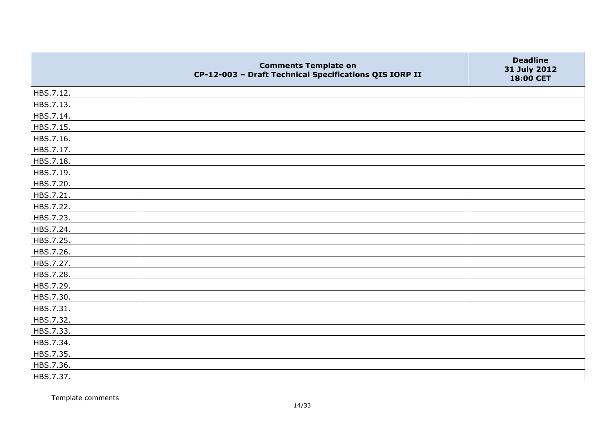|           | <b>Comments Template on</b><br>CP-12-003 - Draft Technical Specifications QIS IORP II | <b>Deadline</b><br>31 July 2012<br>18:00 CET |
|-----------|---------------------------------------------------------------------------------------|----------------------------------------------|
| HBS.7.12. |                                                                                       |                                              |
| HBS.7.13. |                                                                                       |                                              |
| HBS.7.14. |                                                                                       |                                              |
| HBS.7.15. |                                                                                       |                                              |
| HBS.7.16. |                                                                                       |                                              |
| HBS.7.17. |                                                                                       |                                              |
| HBS.7.18. |                                                                                       |                                              |
| HBS.7.19. |                                                                                       |                                              |
| HBS.7.20. |                                                                                       |                                              |
| HBS.7.21. |                                                                                       |                                              |
| HBS.7.22. |                                                                                       |                                              |
| HBS.7.23. |                                                                                       |                                              |
| HBS.7.24. |                                                                                       |                                              |
| HBS.7.25. |                                                                                       |                                              |
| HBS.7.26. |                                                                                       |                                              |
| HBS.7.27. |                                                                                       |                                              |
| HBS.7.28. |                                                                                       |                                              |
| HBS.7.29. |                                                                                       |                                              |
| HBS.7.30. |                                                                                       |                                              |
| HBS.7.31. |                                                                                       |                                              |
| HBS.7.32. |                                                                                       |                                              |
| HBS.7.33. |                                                                                       |                                              |
| HBS.7.34. |                                                                                       |                                              |
| HBS.7.35. |                                                                                       |                                              |
| HBS.7.36. |                                                                                       |                                              |
| HBS.7.37. |                                                                                       |                                              |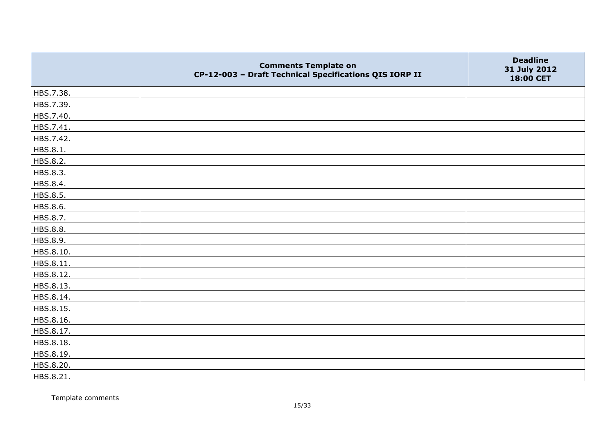|           | <b>Comments Template on</b><br>CP-12-003 - Draft Technical Specifications QIS IORP II | <b>Deadline</b><br>31 July 2012<br>18:00 CET |
|-----------|---------------------------------------------------------------------------------------|----------------------------------------------|
| HBS.7.38. |                                                                                       |                                              |
| HBS.7.39. |                                                                                       |                                              |
| HBS.7.40. |                                                                                       |                                              |
| HBS.7.41. |                                                                                       |                                              |
| HBS.7.42. |                                                                                       |                                              |
| HBS.8.1.  |                                                                                       |                                              |
| HBS.8.2.  |                                                                                       |                                              |
| HBS.8.3.  |                                                                                       |                                              |
| HBS.8.4.  |                                                                                       |                                              |
| HBS.8.5.  |                                                                                       |                                              |
| HBS.8.6.  |                                                                                       |                                              |
| HBS.8.7.  |                                                                                       |                                              |
| HBS.8.8.  |                                                                                       |                                              |
| HBS.8.9.  |                                                                                       |                                              |
| HBS.8.10. |                                                                                       |                                              |
| HBS.8.11. |                                                                                       |                                              |
| HBS.8.12. |                                                                                       |                                              |
| HBS.8.13. |                                                                                       |                                              |
| HBS.8.14. |                                                                                       |                                              |
| HBS.8.15. |                                                                                       |                                              |
| HBS.8.16. |                                                                                       |                                              |
| HBS.8.17. |                                                                                       |                                              |
| HBS.8.18. |                                                                                       |                                              |
| HBS.8.19. |                                                                                       |                                              |
| HBS.8.20. |                                                                                       |                                              |
| HBS.8.21. |                                                                                       |                                              |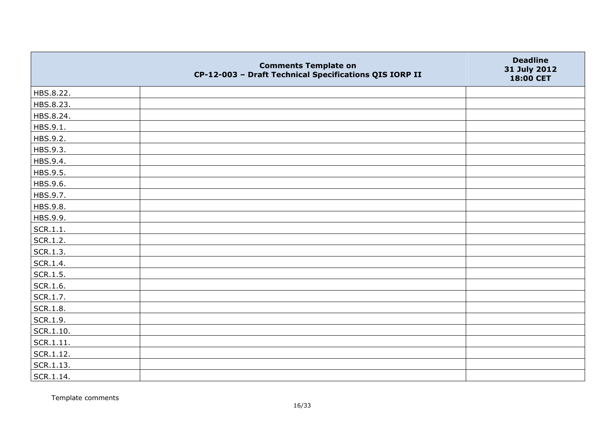|           | <b>Comments Template on</b><br>CP-12-003 - Draft Technical Specifications QIS IORP II | <b>Deadline</b><br>31 July 2012<br>18:00 CET |
|-----------|---------------------------------------------------------------------------------------|----------------------------------------------|
| HBS.8.22. |                                                                                       |                                              |
| HBS.8.23. |                                                                                       |                                              |
| HBS.8.24. |                                                                                       |                                              |
| HBS.9.1.  |                                                                                       |                                              |
| HBS.9.2.  |                                                                                       |                                              |
| HBS.9.3.  |                                                                                       |                                              |
| HBS.9.4.  |                                                                                       |                                              |
| HBS.9.5.  |                                                                                       |                                              |
| HBS.9.6.  |                                                                                       |                                              |
| HBS.9.7.  |                                                                                       |                                              |
| HBS.9.8.  |                                                                                       |                                              |
| HBS.9.9.  |                                                                                       |                                              |
| SCR.1.1.  |                                                                                       |                                              |
| SCR.1.2.  |                                                                                       |                                              |
| SCR.1.3.  |                                                                                       |                                              |
| SCR.1.4.  |                                                                                       |                                              |
| SCR.1.5.  |                                                                                       |                                              |
| SCR.1.6.  |                                                                                       |                                              |
| SCR.1.7.  |                                                                                       |                                              |
| SCR.1.8.  |                                                                                       |                                              |
| SCR.1.9.  |                                                                                       |                                              |
| SCR.1.10. |                                                                                       |                                              |
| SCR.1.11. |                                                                                       |                                              |
| SCR.1.12. |                                                                                       |                                              |
| SCR.1.13. |                                                                                       |                                              |
| SCR.1.14. |                                                                                       |                                              |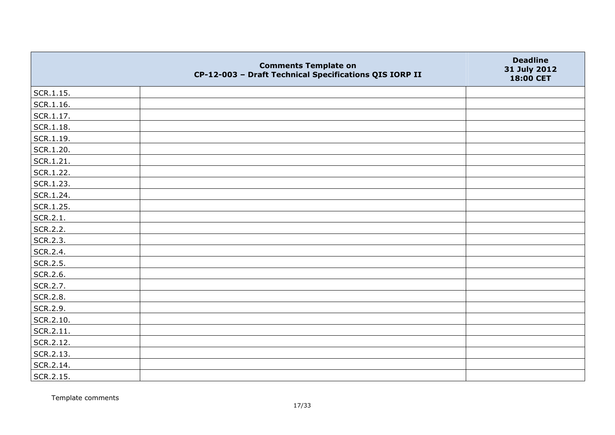|               | <b>Comments Template on</b><br>CP-12-003 - Draft Technical Specifications QIS IORP II | <b>Deadline</b><br>31 July 2012<br>18:00 CET |
|---------------|---------------------------------------------------------------------------------------|----------------------------------------------|
| SCR.1.15.     |                                                                                       |                                              |
| SCR.1.16.     |                                                                                       |                                              |
| SCR.1.17.     |                                                                                       |                                              |
| $ $ SCR.1.18. |                                                                                       |                                              |
| SCR.1.19.     |                                                                                       |                                              |
| SCR.1.20.     |                                                                                       |                                              |
| SCR.1.21.     |                                                                                       |                                              |
| SCR.1.22.     |                                                                                       |                                              |
| SCR.1.23.     |                                                                                       |                                              |
| SCR.1.24.     |                                                                                       |                                              |
| SCR.1.25.     |                                                                                       |                                              |
| SCR.2.1.      |                                                                                       |                                              |
| SCR.2.2.      |                                                                                       |                                              |
| SCR.2.3.      |                                                                                       |                                              |
| SCR.2.4.      |                                                                                       |                                              |
| SCR.2.5.      |                                                                                       |                                              |
| SCR.2.6.      |                                                                                       |                                              |
| SCR.2.7.      |                                                                                       |                                              |
| SCR.2.8.      |                                                                                       |                                              |
| SCR.2.9.      |                                                                                       |                                              |
| SCR.2.10.     |                                                                                       |                                              |
| $ $ SCR.2.11. |                                                                                       |                                              |
| SCR.2.12.     |                                                                                       |                                              |
| SCR.2.13.     |                                                                                       |                                              |
| SCR.2.14.     |                                                                                       |                                              |
| SCR.2.15.     |                                                                                       |                                              |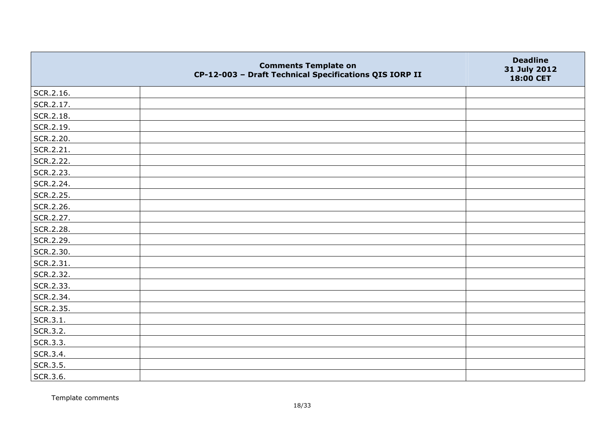|           | <b>Comments Template on</b><br>CP-12-003 - Draft Technical Specifications QIS IORP II | <b>Deadline</b><br>31 July 2012<br>18:00 CET |
|-----------|---------------------------------------------------------------------------------------|----------------------------------------------|
| SCR.2.16. |                                                                                       |                                              |
| SCR.2.17. |                                                                                       |                                              |
| SCR.2.18. |                                                                                       |                                              |
| SCR.2.19. |                                                                                       |                                              |
| SCR.2.20. |                                                                                       |                                              |
| SCR.2.21. |                                                                                       |                                              |
| SCR.2.22. |                                                                                       |                                              |
| SCR.2.23. |                                                                                       |                                              |
| SCR.2.24. |                                                                                       |                                              |
| SCR.2.25. |                                                                                       |                                              |
| SCR.2.26. |                                                                                       |                                              |
| SCR.2.27. |                                                                                       |                                              |
| SCR.2.28. |                                                                                       |                                              |
| SCR.2.29. |                                                                                       |                                              |
| SCR.2.30. |                                                                                       |                                              |
| SCR.2.31. |                                                                                       |                                              |
| SCR.2.32. |                                                                                       |                                              |
| SCR.2.33. |                                                                                       |                                              |
| SCR.2.34. |                                                                                       |                                              |
| SCR.2.35. |                                                                                       |                                              |
| SCR.3.1.  |                                                                                       |                                              |
| SCR.3.2.  |                                                                                       |                                              |
| SCR.3.3.  |                                                                                       |                                              |
| SCR.3.4.  |                                                                                       |                                              |
| SCR.3.5.  |                                                                                       |                                              |
| SCR.3.6.  |                                                                                       |                                              |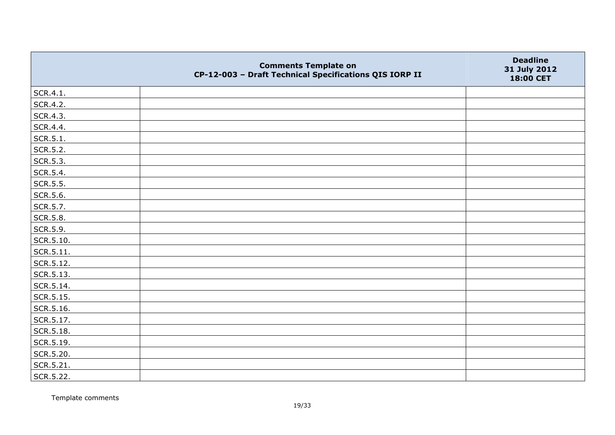|           | <b>Comments Template on</b><br>CP-12-003 - Draft Technical Specifications QIS IORP II | <b>Deadline</b><br>31 July 2012<br>18:00 CET |
|-----------|---------------------------------------------------------------------------------------|----------------------------------------------|
| SCR.4.1.  |                                                                                       |                                              |
| SCR.4.2.  |                                                                                       |                                              |
| SCR.4.3.  |                                                                                       |                                              |
| SCR.4.4.  |                                                                                       |                                              |
| SCR.5.1.  |                                                                                       |                                              |
| SCR.5.2.  |                                                                                       |                                              |
| SCR.5.3.  |                                                                                       |                                              |
| SCR.5.4.  |                                                                                       |                                              |
| SCR.5.5.  |                                                                                       |                                              |
| SCR.5.6.  |                                                                                       |                                              |
| SCR.5.7.  |                                                                                       |                                              |
| SCR.5.8.  |                                                                                       |                                              |
| SCR.5.9.  |                                                                                       |                                              |
| SCR.5.10. |                                                                                       |                                              |
| SCR.5.11. |                                                                                       |                                              |
| SCR.5.12. |                                                                                       |                                              |
| SCR.5.13. |                                                                                       |                                              |
| SCR.5.14. |                                                                                       |                                              |
| SCR.5.15. |                                                                                       |                                              |
| SCR.5.16. |                                                                                       |                                              |
| SCR.5.17. |                                                                                       |                                              |
| SCR.5.18. |                                                                                       |                                              |
| SCR.5.19. |                                                                                       |                                              |
| SCR.5.20. |                                                                                       |                                              |
| SCR.5.21. |                                                                                       |                                              |
| SCR.5.22. |                                                                                       |                                              |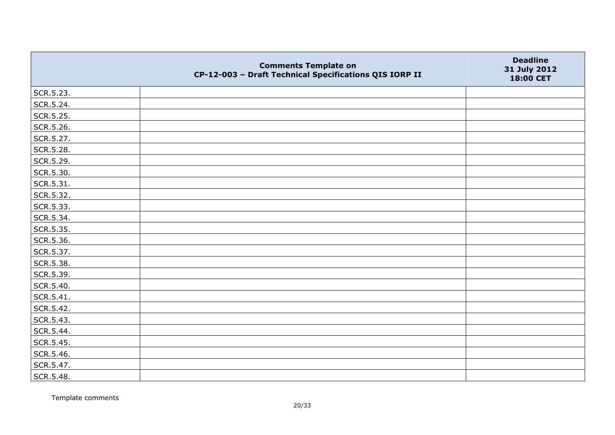|           | <b>Comments Template on</b><br>CP-12-003 - Draft Technical Specifications QIS IORP II | <b>Deadline</b><br>31 July 2012<br>18:00 CET |
|-----------|---------------------------------------------------------------------------------------|----------------------------------------------|
| SCR.5.23. |                                                                                       |                                              |
| SCR.5.24. |                                                                                       |                                              |
| SCR.5.25. |                                                                                       |                                              |
| SCR.5.26. |                                                                                       |                                              |
| SCR.5.27. |                                                                                       |                                              |
| SCR.5.28. |                                                                                       |                                              |
| SCR.5.29. |                                                                                       |                                              |
| SCR.5.30. |                                                                                       |                                              |
| SCR.5.31. |                                                                                       |                                              |
| SCR.5.32. |                                                                                       |                                              |
| SCR.5.33. |                                                                                       |                                              |
| SCR.5.34. |                                                                                       |                                              |
| SCR.5.35. |                                                                                       |                                              |
| SCR.5.36. |                                                                                       |                                              |
| SCR.5.37. |                                                                                       |                                              |
| SCR.5.38. |                                                                                       |                                              |
| SCR.5.39. |                                                                                       |                                              |
| SCR.5.40. |                                                                                       |                                              |
| SCR.5.41. |                                                                                       |                                              |
| SCR.5.42. |                                                                                       |                                              |
| SCR.5.43. |                                                                                       |                                              |
| SCR.5.44. |                                                                                       |                                              |
| SCR.5.45. |                                                                                       |                                              |
| SCR.5.46. |                                                                                       |                                              |
| SCR.5.47. |                                                                                       |                                              |
| SCR.5.48. |                                                                                       |                                              |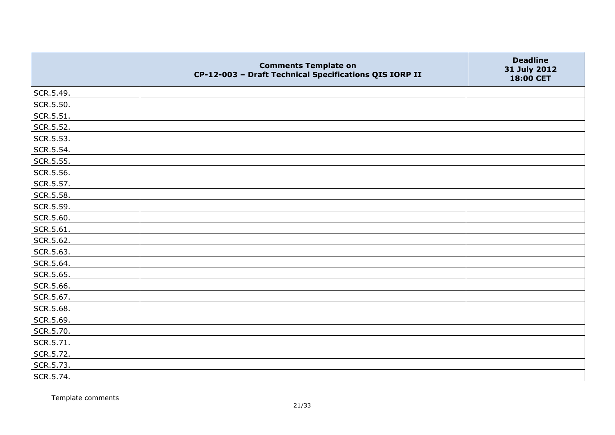|           | <b>Comments Template on</b><br>CP-12-003 - Draft Technical Specifications QIS IORP II | <b>Deadline</b><br>31 July 2012<br>18:00 CET |
|-----------|---------------------------------------------------------------------------------------|----------------------------------------------|
| SCR.5.49. |                                                                                       |                                              |
| SCR.5.50. |                                                                                       |                                              |
| SCR.5.51. |                                                                                       |                                              |
| SCR.5.52. |                                                                                       |                                              |
| SCR.5.53. |                                                                                       |                                              |
| SCR.5.54. |                                                                                       |                                              |
| SCR.5.55. |                                                                                       |                                              |
| SCR.5.56. |                                                                                       |                                              |
| SCR.5.57. |                                                                                       |                                              |
| SCR.5.58. |                                                                                       |                                              |
| SCR.5.59. |                                                                                       |                                              |
| SCR.5.60. |                                                                                       |                                              |
| SCR.5.61. |                                                                                       |                                              |
| SCR.5.62. |                                                                                       |                                              |
| SCR.5.63. |                                                                                       |                                              |
| SCR.5.64. |                                                                                       |                                              |
| SCR.5.65. |                                                                                       |                                              |
| SCR.5.66. |                                                                                       |                                              |
| SCR.5.67. |                                                                                       |                                              |
| SCR.5.68. |                                                                                       |                                              |
| SCR.5.69. |                                                                                       |                                              |
| SCR.5.70. |                                                                                       |                                              |
| SCR.5.71. |                                                                                       |                                              |
| SCR.5.72. |                                                                                       |                                              |
| SCR.5.73. |                                                                                       |                                              |
| SCR.5.74. |                                                                                       |                                              |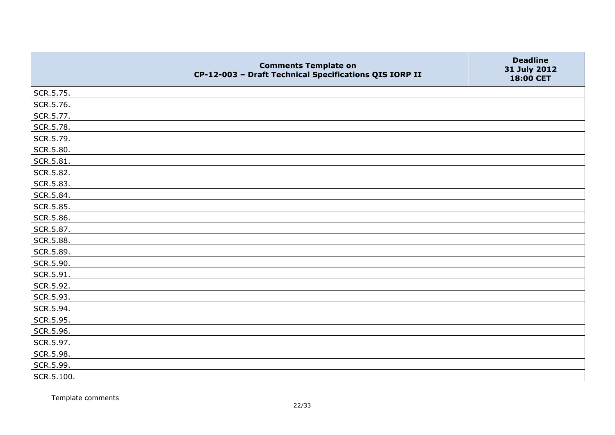|            | <b>Comments Template on</b><br>CP-12-003 - Draft Technical Specifications QIS IORP II | <b>Deadline</b><br>31 July 2012<br>18:00 CET |
|------------|---------------------------------------------------------------------------------------|----------------------------------------------|
| SCR.5.75.  |                                                                                       |                                              |
| SCR.5.76.  |                                                                                       |                                              |
| SCR.5.77.  |                                                                                       |                                              |
| SCR.5.78.  |                                                                                       |                                              |
| SCR.5.79.  |                                                                                       |                                              |
| SCR.5.80.  |                                                                                       |                                              |
| SCR.5.81.  |                                                                                       |                                              |
| SCR.5.82.  |                                                                                       |                                              |
| SCR.5.83.  |                                                                                       |                                              |
| SCR.5.84.  |                                                                                       |                                              |
| SCR.5.85.  |                                                                                       |                                              |
| SCR.5.86.  |                                                                                       |                                              |
| SCR.5.87.  |                                                                                       |                                              |
| SCR.5.88.  |                                                                                       |                                              |
| SCR.5.89.  |                                                                                       |                                              |
| SCR.5.90.  |                                                                                       |                                              |
| SCR.5.91.  |                                                                                       |                                              |
| SCR.5.92.  |                                                                                       |                                              |
| SCR.5.93.  |                                                                                       |                                              |
| SCR.5.94.  |                                                                                       |                                              |
| SCR.5.95.  |                                                                                       |                                              |
| SCR.5.96.  |                                                                                       |                                              |
| SCR.5.97.  |                                                                                       |                                              |
| SCR.5.98.  |                                                                                       |                                              |
| SCR.5.99.  |                                                                                       |                                              |
| SCR.5.100. |                                                                                       |                                              |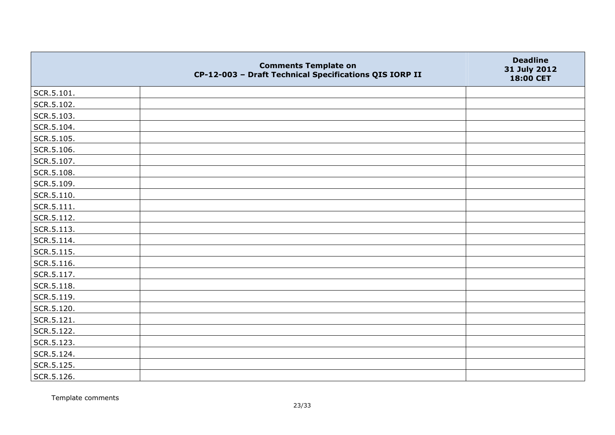|                | <b>Comments Template on</b><br>CP-12-003 - Draft Technical Specifications QIS IORP II | <b>Deadline</b><br>31 July 2012<br>18:00 CET |
|----------------|---------------------------------------------------------------------------------------|----------------------------------------------|
| SCR.5.101.     |                                                                                       |                                              |
| SCR.5.102.     |                                                                                       |                                              |
| SCR.5.103.     |                                                                                       |                                              |
| SCR.5.104.     |                                                                                       |                                              |
| SCR.5.105.     |                                                                                       |                                              |
| SCR.5.106.     |                                                                                       |                                              |
| SCR.5.107.     |                                                                                       |                                              |
| SCR.5.108.     |                                                                                       |                                              |
| SCR.5.109.     |                                                                                       |                                              |
| SCR.5.110.     |                                                                                       |                                              |
| $ $ SCR.5.111. |                                                                                       |                                              |
| SCR.5.112.     |                                                                                       |                                              |
| SCR.5.113.     |                                                                                       |                                              |
| SCR.5.114.     |                                                                                       |                                              |
| SCR.5.115.     |                                                                                       |                                              |
| SCR.5.116.     |                                                                                       |                                              |
| SCR.5.117.     |                                                                                       |                                              |
| SCR.5.118.     |                                                                                       |                                              |
| SCR.5.119.     |                                                                                       |                                              |
| SCR.5.120.     |                                                                                       |                                              |
| SCR.5.121.     |                                                                                       |                                              |
| SCR.5.122.     |                                                                                       |                                              |
| SCR.5.123.     |                                                                                       |                                              |
| SCR.5.124.     |                                                                                       |                                              |
| SCR.5.125.     |                                                                                       |                                              |
| SCR.5.126.     |                                                                                       |                                              |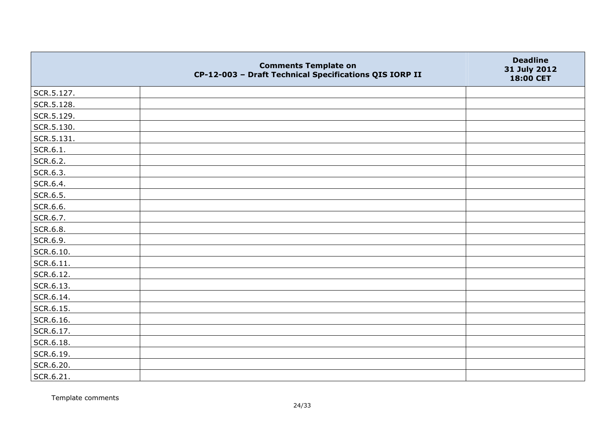|            | <b>Comments Template on</b><br>CP-12-003 - Draft Technical Specifications QIS IORP II | <b>Deadline</b><br>31 July 2012<br>18:00 CET |
|------------|---------------------------------------------------------------------------------------|----------------------------------------------|
| SCR.5.127. |                                                                                       |                                              |
| SCR.5.128. |                                                                                       |                                              |
| SCR.5.129. |                                                                                       |                                              |
| SCR.5.130. |                                                                                       |                                              |
| SCR.5.131. |                                                                                       |                                              |
| SCR.6.1.   |                                                                                       |                                              |
| SCR.6.2.   |                                                                                       |                                              |
| SCR.6.3.   |                                                                                       |                                              |
| SCR.6.4.   |                                                                                       |                                              |
| SCR.6.5.   |                                                                                       |                                              |
| SCR.6.6.   |                                                                                       |                                              |
| SCR.6.7.   |                                                                                       |                                              |
| SCR.6.8.   |                                                                                       |                                              |
| SCR.6.9.   |                                                                                       |                                              |
| SCR.6.10.  |                                                                                       |                                              |
| SCR.6.11.  |                                                                                       |                                              |
| SCR.6.12.  |                                                                                       |                                              |
| SCR.6.13.  |                                                                                       |                                              |
| SCR.6.14.  |                                                                                       |                                              |
| SCR.6.15.  |                                                                                       |                                              |
| SCR.6.16.  |                                                                                       |                                              |
| SCR.6.17.  |                                                                                       |                                              |
| SCR.6.18.  |                                                                                       |                                              |
| SCR.6.19.  |                                                                                       |                                              |
| SCR.6.20.  |                                                                                       |                                              |
| SCR.6.21.  |                                                                                       |                                              |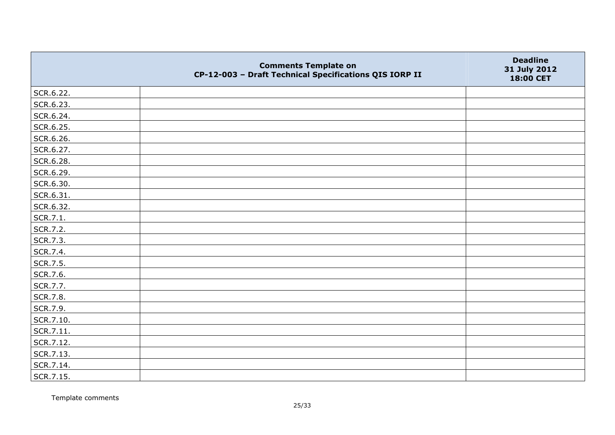|           | <b>Comments Template on</b><br>CP-12-003 - Draft Technical Specifications QIS IORP II | <b>Deadline</b><br>31 July 2012<br>18:00 CET |
|-----------|---------------------------------------------------------------------------------------|----------------------------------------------|
| SCR.6.22. |                                                                                       |                                              |
| SCR.6.23. |                                                                                       |                                              |
| SCR.6.24. |                                                                                       |                                              |
| SCR.6.25. |                                                                                       |                                              |
| SCR.6.26. |                                                                                       |                                              |
| SCR.6.27. |                                                                                       |                                              |
| SCR.6.28. |                                                                                       |                                              |
| SCR.6.29. |                                                                                       |                                              |
| SCR.6.30. |                                                                                       |                                              |
| SCR.6.31. |                                                                                       |                                              |
| SCR.6.32. |                                                                                       |                                              |
| SCR.7.1.  |                                                                                       |                                              |
| SCR.7.2.  |                                                                                       |                                              |
| SCR.7.3.  |                                                                                       |                                              |
| SCR.7.4.  |                                                                                       |                                              |
| SCR.7.5.  |                                                                                       |                                              |
| SCR.7.6.  |                                                                                       |                                              |
| SCR.7.7.  |                                                                                       |                                              |
| SCR.7.8.  |                                                                                       |                                              |
| SCR.7.9.  |                                                                                       |                                              |
| SCR.7.10. |                                                                                       |                                              |
| SCR.7.11. |                                                                                       |                                              |
| SCR.7.12. |                                                                                       |                                              |
| SCR.7.13. |                                                                                       |                                              |
| SCR.7.14. |                                                                                       |                                              |
| SCR.7.15. |                                                                                       |                                              |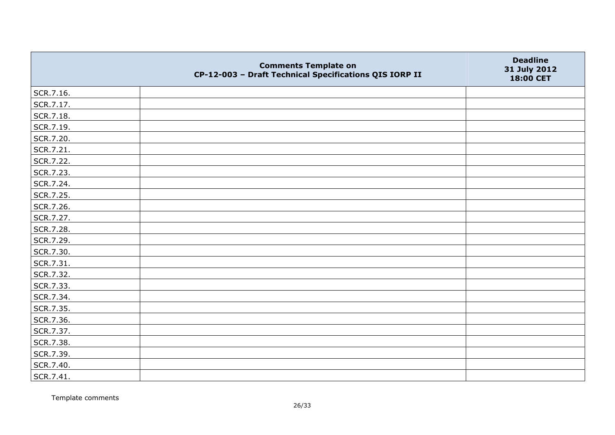|           | <b>Comments Template on</b><br>CP-12-003 - Draft Technical Specifications QIS IORP II | <b>Deadline</b><br>31 July 2012<br>18:00 CET |
|-----------|---------------------------------------------------------------------------------------|----------------------------------------------|
| SCR.7.16. |                                                                                       |                                              |
| SCR.7.17. |                                                                                       |                                              |
| SCR.7.18. |                                                                                       |                                              |
| SCR.7.19. |                                                                                       |                                              |
| SCR.7.20. |                                                                                       |                                              |
| SCR.7.21. |                                                                                       |                                              |
| SCR.7.22. |                                                                                       |                                              |
| SCR.7.23. |                                                                                       |                                              |
| SCR.7.24. |                                                                                       |                                              |
| SCR.7.25. |                                                                                       |                                              |
| SCR.7.26. |                                                                                       |                                              |
| SCR.7.27. |                                                                                       |                                              |
| SCR.7.28. |                                                                                       |                                              |
| SCR.7.29. |                                                                                       |                                              |
| SCR.7.30. |                                                                                       |                                              |
| SCR.7.31. |                                                                                       |                                              |
| SCR.7.32. |                                                                                       |                                              |
| SCR.7.33. |                                                                                       |                                              |
| SCR.7.34. |                                                                                       |                                              |
| SCR.7.35. |                                                                                       |                                              |
| SCR.7.36. |                                                                                       |                                              |
| SCR.7.37. |                                                                                       |                                              |
| SCR.7.38. |                                                                                       |                                              |
| SCR.7.39. |                                                                                       |                                              |
| SCR.7.40. |                                                                                       |                                              |
| SCR.7.41. |                                                                                       |                                              |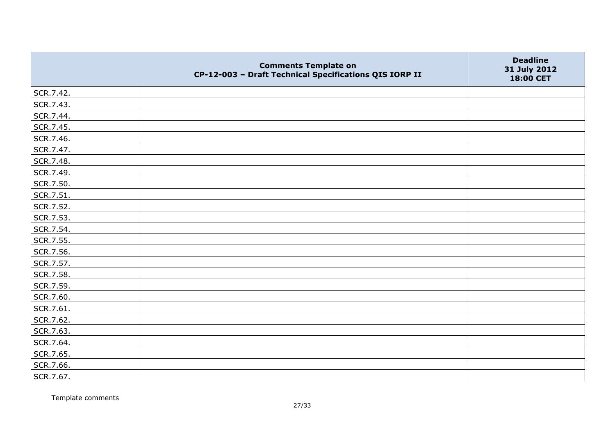|           | <b>Comments Template on</b><br>CP-12-003 - Draft Technical Specifications QIS IORP II | <b>Deadline</b><br>31 July 2012<br>18:00 CET |
|-----------|---------------------------------------------------------------------------------------|----------------------------------------------|
| SCR.7.42. |                                                                                       |                                              |
| SCR.7.43. |                                                                                       |                                              |
| SCR.7.44. |                                                                                       |                                              |
| SCR.7.45. |                                                                                       |                                              |
| SCR.7.46. |                                                                                       |                                              |
| SCR.7.47. |                                                                                       |                                              |
| SCR.7.48. |                                                                                       |                                              |
| SCR.7.49. |                                                                                       |                                              |
| SCR.7.50. |                                                                                       |                                              |
| SCR.7.51. |                                                                                       |                                              |
| SCR.7.52. |                                                                                       |                                              |
| SCR.7.53. |                                                                                       |                                              |
| SCR.7.54. |                                                                                       |                                              |
| SCR.7.55. |                                                                                       |                                              |
| SCR.7.56. |                                                                                       |                                              |
| SCR.7.57. |                                                                                       |                                              |
| SCR.7.58. |                                                                                       |                                              |
| SCR.7.59. |                                                                                       |                                              |
| SCR.7.60. |                                                                                       |                                              |
| SCR.7.61. |                                                                                       |                                              |
| SCR.7.62. |                                                                                       |                                              |
| SCR.7.63. |                                                                                       |                                              |
| SCR.7.64. |                                                                                       |                                              |
| SCR.7.65. |                                                                                       |                                              |
| SCR.7.66. |                                                                                       |                                              |
| SCR.7.67. |                                                                                       |                                              |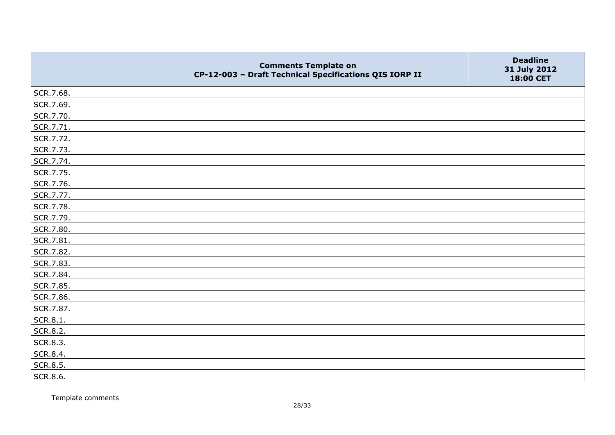|                 | <b>Comments Template on</b><br>CP-12-003 - Draft Technical Specifications QIS IORP II | <b>Deadline</b><br>31 July 2012<br>18:00 CET |
|-----------------|---------------------------------------------------------------------------------------|----------------------------------------------|
| SCR.7.68.       |                                                                                       |                                              |
| SCR.7.69.       |                                                                                       |                                              |
| SCR.7.70.       |                                                                                       |                                              |
| SCR.7.71.       |                                                                                       |                                              |
| SCR.7.72.       |                                                                                       |                                              |
| SCR.7.73.       |                                                                                       |                                              |
| SCR.7.74.       |                                                                                       |                                              |
| SCR.7.75.       |                                                                                       |                                              |
| SCR.7.76.       |                                                                                       |                                              |
| SCR.7.77.       |                                                                                       |                                              |
| SCR.7.78.       |                                                                                       |                                              |
| SCR.7.79.       |                                                                                       |                                              |
| SCR.7.80.       |                                                                                       |                                              |
| SCR.7.81.       |                                                                                       |                                              |
| SCR.7.82.       |                                                                                       |                                              |
| SCR.7.83.       |                                                                                       |                                              |
| SCR.7.84.       |                                                                                       |                                              |
| SCR.7.85.       |                                                                                       |                                              |
| SCR.7.86.       |                                                                                       |                                              |
| SCR.7.87.       |                                                                                       |                                              |
| SCR.8.1.        |                                                                                       |                                              |
| <b>SCR.8.2.</b> |                                                                                       |                                              |
| SCR.8.3.        |                                                                                       |                                              |
| SCR.8.4.        |                                                                                       |                                              |
| SCR.8.5.        |                                                                                       |                                              |
| SCR.8.6.        |                                                                                       |                                              |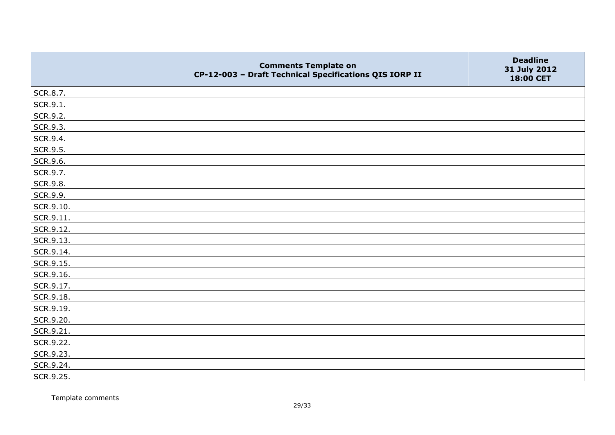|           | <b>Comments Template on</b><br>CP-12-003 - Draft Technical Specifications QIS IORP II | <b>Deadline</b><br>31 July 2012<br>18:00 CET |
|-----------|---------------------------------------------------------------------------------------|----------------------------------------------|
| SCR.8.7.  |                                                                                       |                                              |
| SCR.9.1.  |                                                                                       |                                              |
| SCR.9.2.  |                                                                                       |                                              |
| SCR.9.3.  |                                                                                       |                                              |
| SCR.9.4.  |                                                                                       |                                              |
| SCR.9.5.  |                                                                                       |                                              |
| SCR.9.6.  |                                                                                       |                                              |
| SCR.9.7.  |                                                                                       |                                              |
| SCR.9.8.  |                                                                                       |                                              |
| SCR.9.9.  |                                                                                       |                                              |
| SCR.9.10. |                                                                                       |                                              |
| SCR.9.11. |                                                                                       |                                              |
| SCR.9.12. |                                                                                       |                                              |
| SCR.9.13. |                                                                                       |                                              |
| SCR.9.14. |                                                                                       |                                              |
| SCR.9.15. |                                                                                       |                                              |
| SCR.9.16. |                                                                                       |                                              |
| SCR.9.17. |                                                                                       |                                              |
| SCR.9.18. |                                                                                       |                                              |
| SCR.9.19. |                                                                                       |                                              |
| SCR.9.20. |                                                                                       |                                              |
| SCR.9.21. |                                                                                       |                                              |
| SCR.9.22. |                                                                                       |                                              |
| SCR.9.23. |                                                                                       |                                              |
| SCR.9.24. |                                                                                       |                                              |
| SCR.9.25. |                                                                                       |                                              |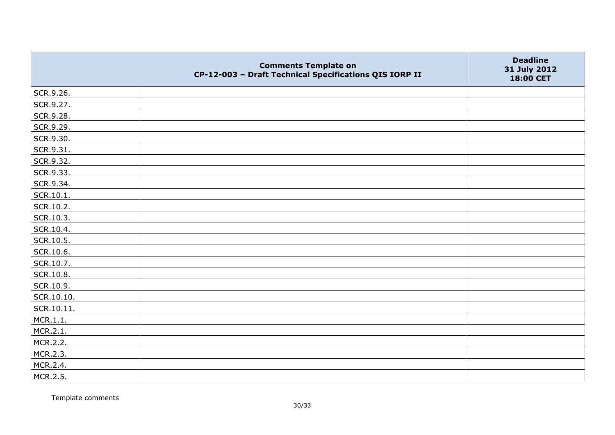|            | <b>Comments Template on</b><br>CP-12-003 - Draft Technical Specifications QIS IORP II | <b>Deadline</b><br>31 July 2012<br>18:00 CET |
|------------|---------------------------------------------------------------------------------------|----------------------------------------------|
| SCR.9.26.  |                                                                                       |                                              |
| SCR.9.27.  |                                                                                       |                                              |
| SCR.9.28.  |                                                                                       |                                              |
| SCR.9.29.  |                                                                                       |                                              |
| SCR.9.30.  |                                                                                       |                                              |
| SCR.9.31.  |                                                                                       |                                              |
| SCR.9.32.  |                                                                                       |                                              |
| SCR.9.33.  |                                                                                       |                                              |
| SCR.9.34.  |                                                                                       |                                              |
| SCR.10.1.  |                                                                                       |                                              |
| SCR.10.2.  |                                                                                       |                                              |
| SCR.10.3.  |                                                                                       |                                              |
| SCR.10.4.  |                                                                                       |                                              |
| SCR.10.5.  |                                                                                       |                                              |
| SCR.10.6.  |                                                                                       |                                              |
| SCR.10.7.  |                                                                                       |                                              |
| SCR.10.8.  |                                                                                       |                                              |
| SCR.10.9.  |                                                                                       |                                              |
| SCR.10.10. |                                                                                       |                                              |
| SCR.10.11. |                                                                                       |                                              |
| MCR.1.1.   |                                                                                       |                                              |
| MCR.2.1.   |                                                                                       |                                              |
| MCR.2.2.   |                                                                                       |                                              |
| MCR.2.3.   |                                                                                       |                                              |
| MCR.2.4.   |                                                                                       |                                              |
| MCR.2.5.   |                                                                                       |                                              |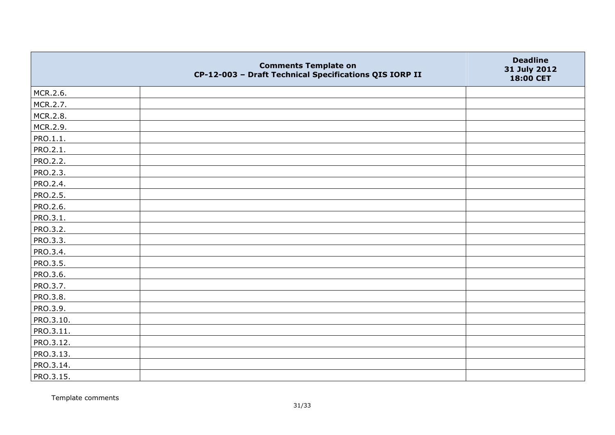|                 | <b>Comments Template on</b><br>CP-12-003 - Draft Technical Specifications QIS IORP II | <b>Deadline</b><br>31 July 2012<br>18:00 CET |
|-----------------|---------------------------------------------------------------------------------------|----------------------------------------------|
| MCR.2.6.        |                                                                                       |                                              |
| MCR.2.7.        |                                                                                       |                                              |
| MCR.2.8.        |                                                                                       |                                              |
| MCR.2.9.        |                                                                                       |                                              |
| PRO.1.1.        |                                                                                       |                                              |
| <b>PRO.2.1.</b> |                                                                                       |                                              |
| PRO.2.2.        |                                                                                       |                                              |
| PRO.2.3.        |                                                                                       |                                              |
| PRO.2.4.        |                                                                                       |                                              |
| PRO.2.5.        |                                                                                       |                                              |
| <b>PRO.2.6.</b> |                                                                                       |                                              |
| PRO.3.1.        |                                                                                       |                                              |
| PRO.3.2.        |                                                                                       |                                              |
| PRO.3.3.        |                                                                                       |                                              |
| PRO.3.4.        |                                                                                       |                                              |
| PRO.3.5.        |                                                                                       |                                              |
| PRO.3.6.        |                                                                                       |                                              |
| PRO.3.7.        |                                                                                       |                                              |
| PRO.3.8.        |                                                                                       |                                              |
| PRO.3.9.        |                                                                                       |                                              |
| PRO.3.10.       |                                                                                       |                                              |
| PRO.3.11.       |                                                                                       |                                              |
| PRO.3.12.       |                                                                                       |                                              |
| PRO.3.13.       |                                                                                       |                                              |
| PRO.3.14.       |                                                                                       |                                              |
| PRO.3.15.       |                                                                                       |                                              |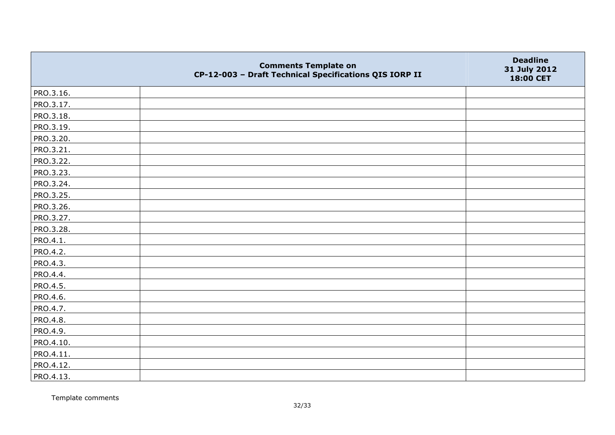|           | <b>Comments Template on</b><br>CP-12-003 - Draft Technical Specifications QIS IORP II | <b>Deadline</b><br>31 July 2012<br>18:00 CET |
|-----------|---------------------------------------------------------------------------------------|----------------------------------------------|
| PRO.3.16. |                                                                                       |                                              |
| PRO.3.17. |                                                                                       |                                              |
| PRO.3.18. |                                                                                       |                                              |
| PRO.3.19. |                                                                                       |                                              |
| PRO.3.20. |                                                                                       |                                              |
| PRO.3.21. |                                                                                       |                                              |
| PRO.3.22. |                                                                                       |                                              |
| PRO.3.23. |                                                                                       |                                              |
| PRO.3.24. |                                                                                       |                                              |
| PRO.3.25. |                                                                                       |                                              |
| PRO.3.26. |                                                                                       |                                              |
| PRO.3.27. |                                                                                       |                                              |
| PRO.3.28. |                                                                                       |                                              |
| PRO.4.1.  |                                                                                       |                                              |
| PRO.4.2.  |                                                                                       |                                              |
| PRO.4.3.  |                                                                                       |                                              |
| PRO.4.4.  |                                                                                       |                                              |
| PRO.4.5.  |                                                                                       |                                              |
| PRO.4.6.  |                                                                                       |                                              |
| PRO.4.7.  |                                                                                       |                                              |
| PRO.4.8.  |                                                                                       |                                              |
| PRO.4.9.  |                                                                                       |                                              |
| PRO.4.10. |                                                                                       |                                              |
| PRO.4.11. |                                                                                       |                                              |
| PRO.4.12. |                                                                                       |                                              |
| PRO.4.13. |                                                                                       |                                              |